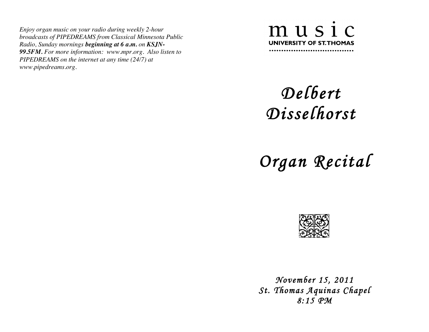*Enjoy organ music on your radio during weekly 2-hour broadcasts of PIPEDREAMS from Classical Minnesota Public Radio, Sunday mornings beginning at 6 a.m. on KSJN-99.5FM. For more information: www.mpr.org. Also listen to PIPEDREAMS on the internet at any time (24/7) at www.pipedreams.org.* 



## *Delbert Disselhorst*

 *Organ Recital* 



 *November 15, 2011 St. Thomas Aquinas Chapel 8:15 PM*